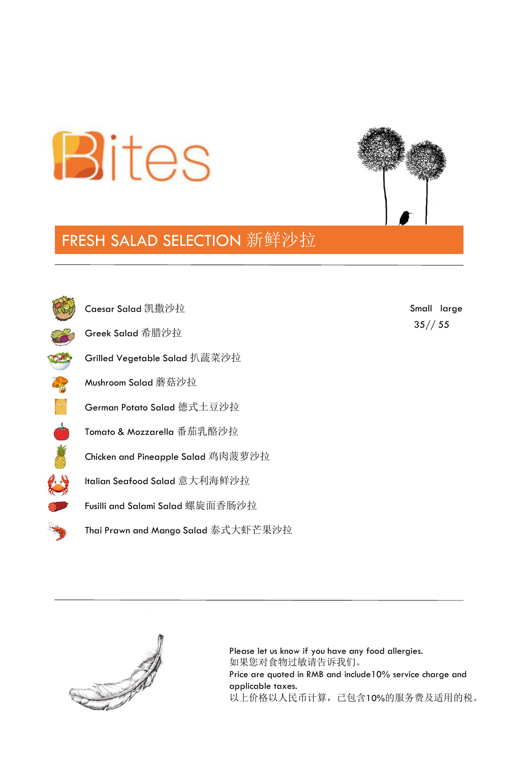



## FRESH SALAD SELECTION 新鲜沙拉



35// 55 Small large

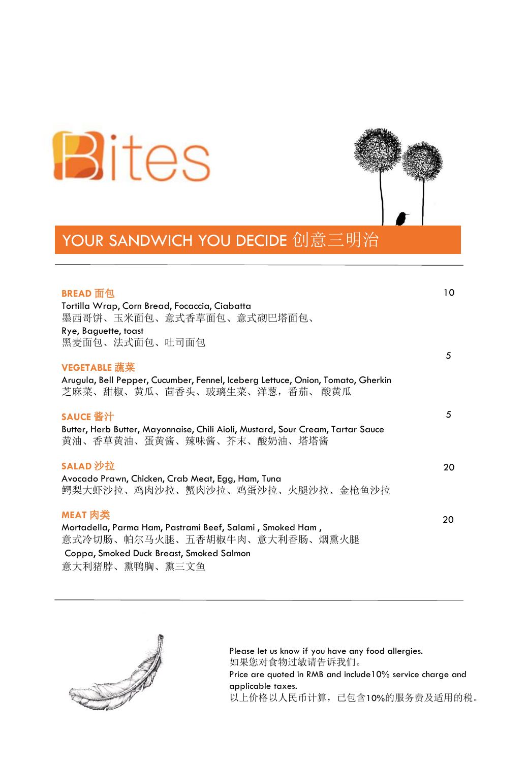



## YOUR SANDWICH YOU DECIDE 创意三明治

| BREAD 面包                                                                                                          | 10 |
|-------------------------------------------------------------------------------------------------------------------|----|
| Tortilla Wrap, Corn Bread, Focaccia, Ciabatta                                                                     |    |
| 墨西哥饼、玉米面包、意式香草面包、意式砌巴塔面包、                                                                                         |    |
| Rye, Baguette, toast                                                                                              |    |
| 黑麦面包、法式面包、吐司面包                                                                                                    |    |
|                                                                                                                   | 5  |
| <b>VEGETABLE 蔬菜</b>                                                                                               |    |
| Arugula, Bell Pepper, Cucumber, Fennel, Iceberg Lettuce, Onion, Tomato, Gherkin<br>芝麻菜、甜椒、黄瓜、茴香头、玻璃生菜、洋葱, 番茄、 酸黄瓜 |    |
|                                                                                                                   |    |
| SAUCE 酱汁                                                                                                          | 5  |
| Butter, Herb Butter, Mayonnaise, Chili Aioli, Mustard, Sour Cream, Tartar Sauce<br>黄油、香草黄油、蛋黄酱、辣味酱、芥末、酸奶油、塔塔酱     |    |
| SALAD 沙拉                                                                                                          | 20 |
| Avocado Prawn, Chicken, Crab Meat, Egg, Ham, Tuna                                                                 |    |
| 鳄梨大虾沙拉、鸡肉沙拉、蟹肉沙拉、鸡蛋沙拉、火腿沙拉、金枪鱼沙拉                                                                                  |    |
| MEAT 肉类                                                                                                           | 20 |
| Mortadella, Parma Ham, Pastrami Beef, Salami, Smoked Ham,                                                         |    |
| 意式冷切肠、帕尔马火腿、五香胡椒牛肉、意大利香肠、烟熏火腿                                                                                     |    |
| Coppa, Smoked Duck Breast, Smoked Salmon                                                                          |    |
|                                                                                                                   |    |

意大利猪脖、熏鸭胸、熏三文鱼

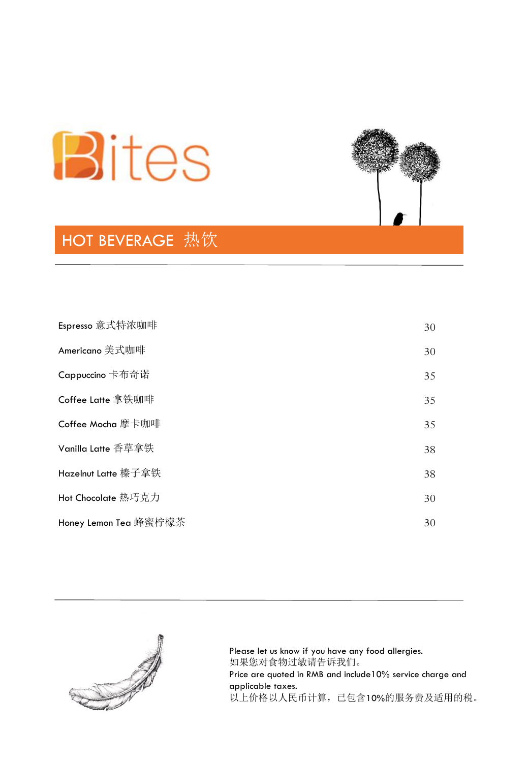

## **HOT BEVERAGE** 热饮



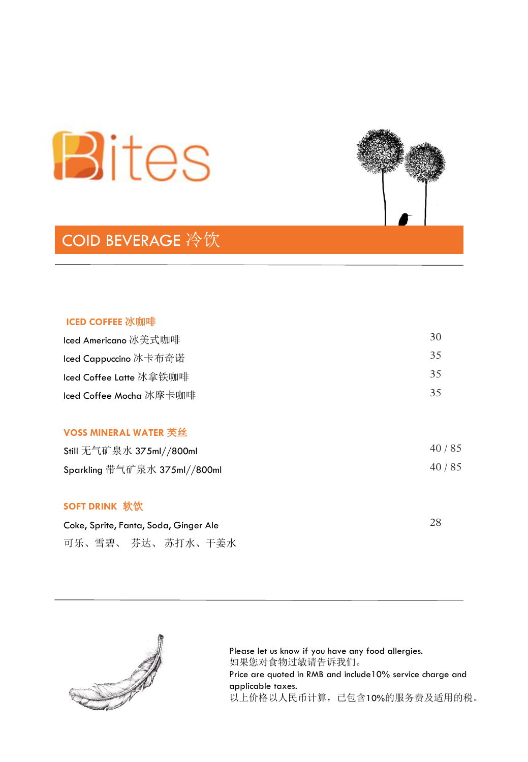

# COID BEVERAGE 冷饮



| lced Americano 冰美式咖啡    | 30 |
|-------------------------|----|
| Iced Cappuccino 冰卡布奇诺   | 35 |
| Iced Coffee Latte 冰拿铁咖啡 | 35 |
| Iced Coffee Mocha 冰摩卡咖啡 | 35 |
|                         |    |

#### **VOSS MINERAL WATER** 芙丝

| Still 无气矿泉水 375ml//800ml     | 40/85 |
|------------------------------|-------|
| Sparkling 带气矿泉水 375ml//800ml | 40/85 |

### **SOFT DRINK** 软饮

| Coke, Sprite, Fanta, Soda, Ginger Ale |  |  |                    |  |  |
|---------------------------------------|--|--|--------------------|--|--|
|                                       |  |  | 可乐、雪碧、 芬达、 苏打水、干姜水 |  |  |